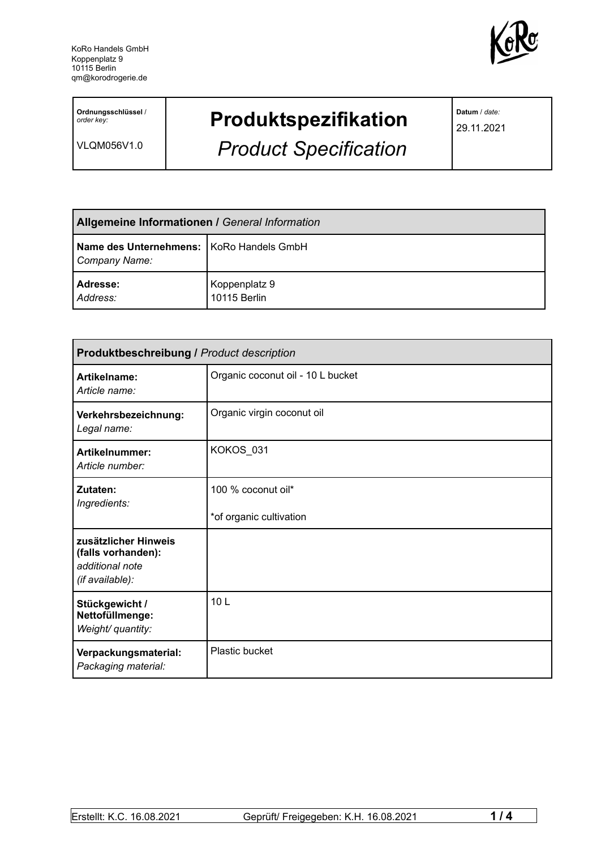

**Ordnungsschlüssel** / *order key:*

VLQM056V1.0

## **Produktspezifikation**

*Product Specification*

**Datum** / *date:*

29.11.2021

| Allgemeine Informationen / General Information              |                               |  |
|-------------------------------------------------------------|-------------------------------|--|
| Name des Unternehmens:   KoRo Handels GmbH<br>Company Name: |                               |  |
| Adresse:<br>Address:                                        | Koppenplatz 9<br>10115 Berlin |  |

| <b>Produktbeschreibung / Product description</b>                                 |                                               |  |
|----------------------------------------------------------------------------------|-----------------------------------------------|--|
| Artikelname:<br>Article name:                                                    | Organic coconut oil - 10 L bucket             |  |
| Verkehrsbezeichnung:<br>Legal name:                                              | Organic virgin coconut oil                    |  |
| <b>Artikelnummer:</b><br>Article number:                                         | KOKOS_031                                     |  |
| Zutaten:<br>Ingredients:                                                         | 100 % coconut oil*<br>*of organic cultivation |  |
| zusätzlicher Hinweis<br>(falls vorhanden):<br>additional note<br>(if available): |                                               |  |
| Stückgewicht /<br>Nettofüllmenge:<br>Weight/ quantity:                           | 10 <sub>L</sub>                               |  |
| Verpackungsmaterial:<br>Packaging material:                                      | Plastic bucket                                |  |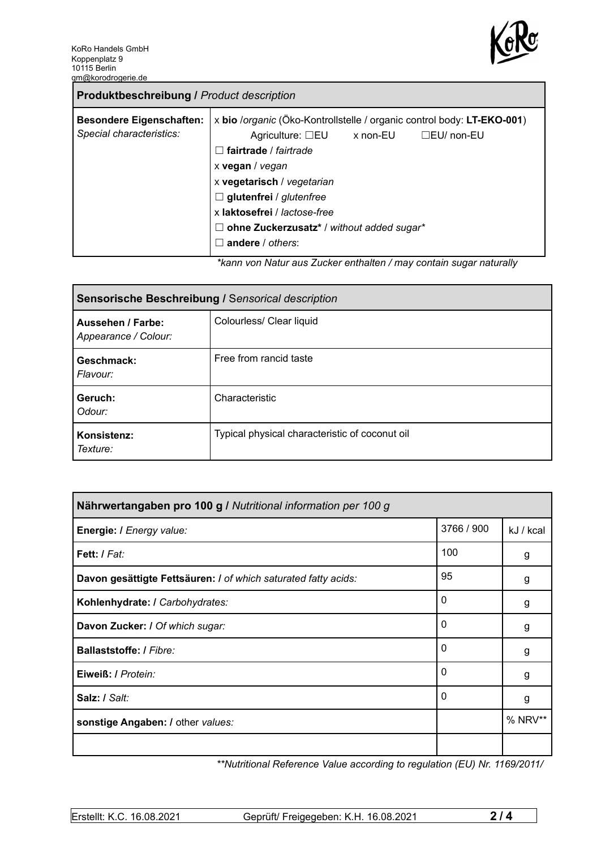

| <b>Produktbeschreibung / Product description</b>            |                                                                                                                                                                                                                                                                                                                                                                                                                                              |
|-------------------------------------------------------------|----------------------------------------------------------------------------------------------------------------------------------------------------------------------------------------------------------------------------------------------------------------------------------------------------------------------------------------------------------------------------------------------------------------------------------------------|
| <b>Besondere Eigenschaften:</b><br>Special characteristics: | x bio /organic (Öko-Kontrollstelle / organic control body: LT-EKO-001)<br>Agriculture: $\square$ EU x non-EU<br>□EU/ non-EU<br>$\Box$ fairtrade / fairtrade<br>x vegan / vegan<br>x vegetarisch / vegetarian<br>$\Box$ glutenfrei / glutenfree<br>x laktosefrei / lactose-free<br>$\Box$ ohne Zuckerzusatz* / without added sugar*<br>andere / others:<br>$\mathbf{I}$<br>ticana yan Natur aya Zuaker anthaltan (may santain ayaar naturally |

*\*kann von Natur aus Zucker enthalten / may contain sugar naturally*

| Sensorische Beschreibung / Sensorical description |                                                |  |
|---------------------------------------------------|------------------------------------------------|--|
| Aussehen / Farbe:<br>Appearance / Colour:         | Colourless/ Clear liquid                       |  |
| Geschmack:<br>Flavour:                            | Free from rancid taste                         |  |
| Geruch:<br>Odour:                                 | Characteristic                                 |  |
| Konsistenz:<br>Texture:                           | Typical physical characteristic of coconut oil |  |

| Nährwertangaben pro 100 g / Nutritional information per 100 g  |            |           |
|----------------------------------------------------------------|------------|-----------|
| Energie: I Energy value:                                       | 3766 / 900 | kJ / kcal |
| Fett: / Fat:                                                   | 100        | g         |
| Davon gesättigte Fettsäuren: I of which saturated fatty acids: | 95         | g         |
| Kohlenhydrate: I Carbohydrates:                                | 0          | g         |
| Davon Zucker: I Of which sugar:                                | 0          | g         |
| Ballaststoffe: / Fibre:                                        | 0          | g         |
| Eiweiß: / Protein:                                             | 0          | g         |
| Salz: / Salt:                                                  | 0          | g         |
| sonstige Angaben: / other values:                              |            | % NRV**   |
|                                                                |            |           |

*\*\*Nutritional Reference Value according to regulation (EU) Nr. 1169/2011/*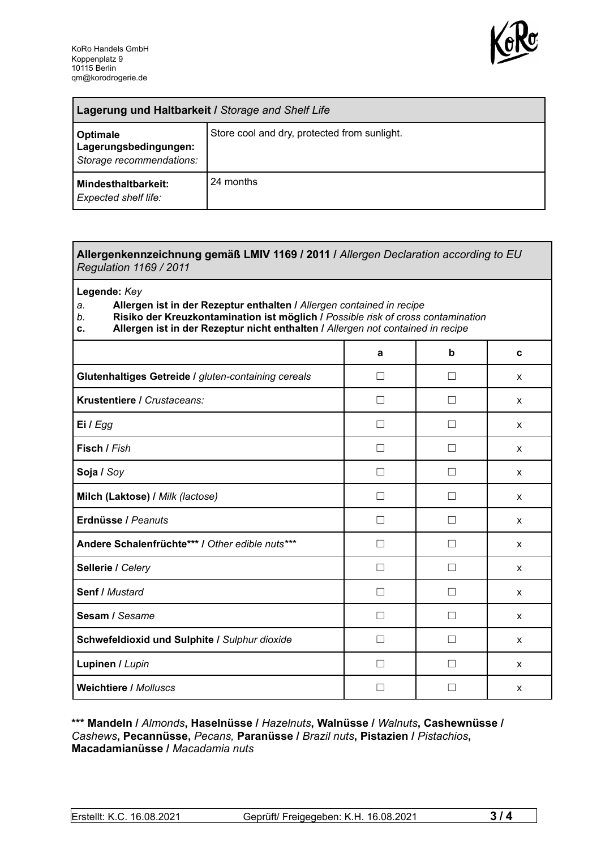

| Lagerung und Haltbarkeit / Storage and Shelf Life             |                                              |  |
|---------------------------------------------------------------|----------------------------------------------|--|
| Optimale<br>Lagerungsbedingungen:<br>Storage recommendations: | Store cool and dry, protected from sunlight. |  |
| <b>Mindesthaltbarkeit:</b><br>Expected shelf life:            | 24 months                                    |  |

## **Allergenkennzeichnung gemäß LMIV 1169 / 2011 /** *Allergen Declaration according to EU Regulation 1169 / 2011*

**Legende:** *Key*

*a.* **Allergen ist in der Rezeptur enthalten /** *Allergen contained in recipe*

- *b.* **Risiko der Kreuzkontamination ist möglich /** *Possible risk of cross contamination*
- **c. Allergen ist in der Rezeptur nicht enthalten /** *Allergen not contained in recipe*

|                                                     | a              | b                        | C            |
|-----------------------------------------------------|----------------|--------------------------|--------------|
| Glutenhaltiges Getreide / gluten-containing cereals | П              | $\mathcal{L}$            | X            |
| Krustentiere / Crustaceans:                         | - 1            |                          | X            |
| Ei / Egg                                            |                |                          | X            |
| Fisch / Fish                                        |                |                          | X            |
| Soja / Soy                                          |                |                          | X            |
| Milch (Laktose) / Milk (lactose)                    |                |                          | X            |
| Erdnüsse / Peanuts                                  | $\perp$        | $\mathsf{L}$             | $\mathsf{x}$ |
| Andere Schalenfrüchte*** / Other edible nuts***     | П              | $\Box$                   | X            |
| Sellerie / Celery                                   | $\blacksquare$ | $\overline{\phantom{a}}$ | X            |
| Senf / Mustard                                      | $\perp$        | П                        | X            |
| Sesam / Sesame                                      | - 1            |                          | X            |
| Schwefeldioxid und Sulphite / Sulphur dioxide       |                |                          | X            |
| Lupinen / Lupin                                     |                |                          | X            |
| <b>Weichtiere / Molluscs</b>                        |                |                          | X            |

## **\*\*\* Mandeln /** *Almonds***, Haselnüsse /** *Hazelnuts***, Walnüsse /** *Walnuts***, Cashewnüsse /** *Cashews***, Pecannüsse,** *Pecans,* **Paranüsse /** *Brazil nuts***, Pistazien /** *Pistachios***, Macadamianüsse /** *Macadamia nuts*